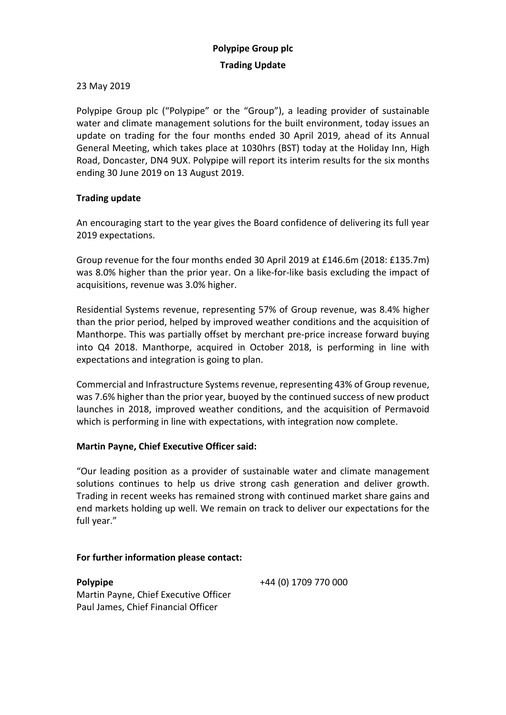## 23 May 2019

Polypipe Group plc ("Polypipe" or the "Group"), a leading provider of sustainable water and climate management solutions for the built environment, today issues an update on trading for the four months ended 30 April 2019, ahead of its Annual General Meeting, which takes place at 1030hrs (BST) today at the Holiday Inn, High Road, Doncaster, DN4 9UX. Polypipe will report its interim results for the six months ending 30 June 2019 on 13 August 2019.

# **Trading update**

An encouraging start to the year gives the Board confidence of delivering its full year 2019 expectations.

Group revenue for the four months ended 30 April 2019 at £146.6m (2018: £135.7m) was 8.0% higher than the prior year. On a like-for-like basis excluding the impact of acquisitions, revenue was 3.0% higher.

Residential Systems revenue, representing 57% of Group revenue, was 8.4% higher than the prior period, helped by improved weather conditions and the acquisition of Manthorpe. This was partially offset by merchant pre-price increase forward buying into Q4 2018. Manthorpe, acquired in October 2018, is performing in line with expectations and integration is going to plan.

Commercial and Infrastructure Systems revenue, representing 43% of Group revenue, was 7.6% higher than the prior year, buoyed by the continued success of new product launches in 2018, improved weather conditions, and the acquisition of Permavoid which is performing in line with expectations, with integration now complete.

## **Martin Payne, Chief Executive Officer said:**

"Our leading position as a provider of sustainable water and climate management solutions continues to help us drive strong cash generation and deliver growth. Trading in recent weeks has remained strong with continued market share gains and end markets holding up well. We remain on track to deliver our expectations for the full year."

## **For further information please contact:**

**Polypipe** +44 (0) 1709 770 000 Martin Payne, Chief Executive Officer Paul James, Chief Financial Officer